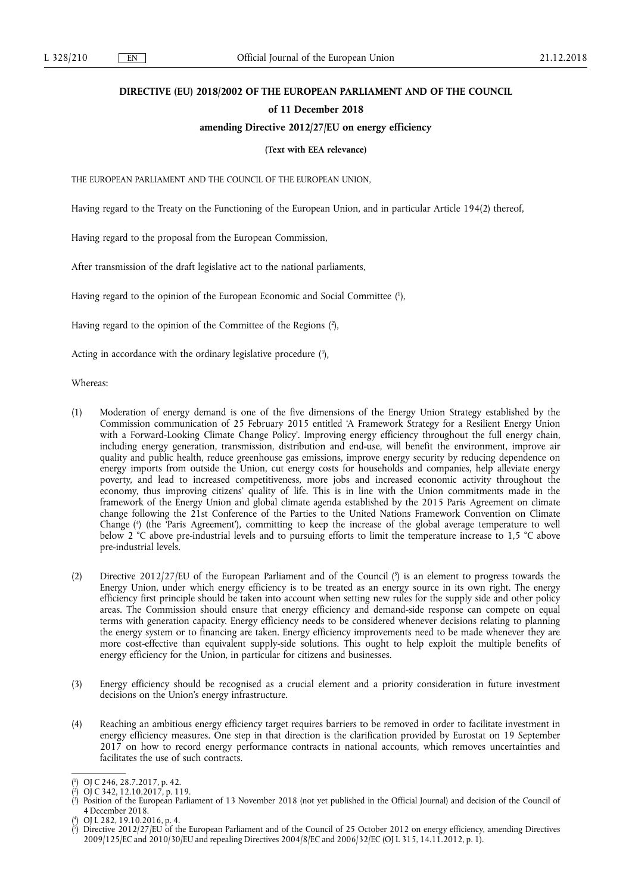### **DIRECTIVE (EU) 2018/2002 OF THE EUROPEAN PARLIAMENT AND OF THE COUNCIL**

### **of 11 December 2018**

### **amending Directive 2012/27/EU on energy efficiency**

**(Text with EEA relevance)** 

THE EUROPEAN PARLIAMENT AND THE COUNCIL OF THE EUROPEAN UNION,

Having regard to the Treaty on the Functioning of the European Union, and in particular Article 194(2) thereof,

Having regard to the proposal from the European Commission,

After transmission of the draft legislative act to the national parliaments,

Having regard to the opinion of the European Economic and Social Committee ( 1 ),

Having regard to the opinion of the Committee of the Regions ( 2 ),

Acting in accordance with the ordinary legislative procedure  $(3)$ ,

Whereas:

- (1) Moderation of energy demand is one of the five dimensions of the Energy Union Strategy established by the Commission communication of 25 February 2015 entitled 'A Framework Strategy for a Resilient Energy Union with a Forward-Looking Climate Change Policy'. Improving energy efficiency throughout the full energy chain, including energy generation, transmission, distribution and end-use, will benefit the environment, improve air quality and public health, reduce greenhouse gas emissions, improve energy security by reducing dependence on energy imports from outside the Union, cut energy costs for households and companies, help alleviate energy poverty, and lead to increased competitiveness, more jobs and increased economic activity throughout the economy, thus improving citizens' quality of life. This is in line with the Union commitments made in the framework of the Energy Union and global climate agenda established by the 2015 Paris Agreement on climate change following the 21st Conference of the Parties to the United Nations Framework Convention on Climate Change ( 4 ) (the 'Paris Agreement'), committing to keep the increase of the global average temperature to well below 2 °C above pre-industrial levels and to pursuing efforts to limit the temperature increase to 1,5 °C above pre-industrial levels.
- (2) Directive 2012/27/EU of the European Parliament and of the Council (5) is an element to progress towards the Energy Union, under which energy efficiency is to be treated as an energy source in its own right. The energy efficiency first principle should be taken into account when setting new rules for the supply side and other policy areas. The Commission should ensure that energy efficiency and demand-side response can compete on equal terms with generation capacity. Energy efficiency needs to be considered whenever decisions relating to planning the energy system or to financing are taken. Energy efficiency improvements need to be made whenever they are more cost-effective than equivalent supply-side solutions. This ought to help exploit the multiple benefits of energy efficiency for the Union, in particular for citizens and businesses.
- (3) Energy efficiency should be recognised as a crucial element and a priority consideration in future investment decisions on the Union's energy infrastructure.
- (4) Reaching an ambitious energy efficiency target requires barriers to be removed in order to facilitate investment in energy efficiency measures. One step in that direction is the clarification provided by Eurostat on 19 September 2017 on how to record energy performance contracts in national accounts, which removes uncertainties and facilitates the use of such contracts.

<sup>(</sup> 1 ) OJ C 246, 28.7.2017, p. 42.

<sup>(</sup> 2 ) OJ C 342, 12.10.2017, p. 119.

<sup>(</sup> 3 ) Position of the European Parliament of 13 November 2018 (not yet published in the Official Journal) and decision of the Council of 4 December 2018.

<sup>(&</sup>lt;sup>4</sup>) OJ L 282, 19.10.2016, p. 4.<br><sup>(5)</sup> Directive 2012/27/ELL of th

<sup>(</sup> ) Directive 2012/27/EU of the European Parliament and of the Council of 25 October 2012 on energy efficiency, amending Directives 2009/125/EC and 2010/30/EU and repealing Directives 2004/8/EC and 2006/32/EC (OJ L 315, 14.11.2012, p. 1).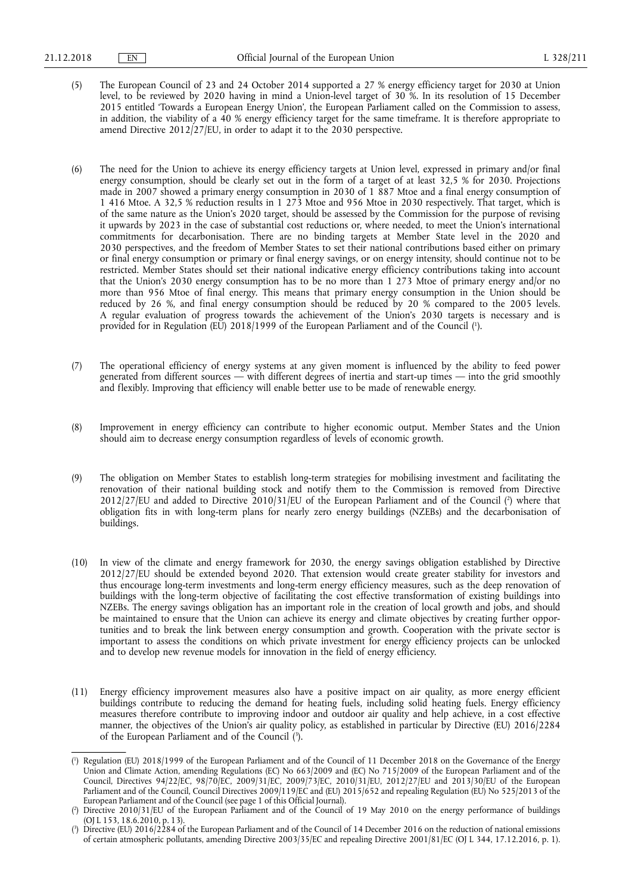- (5) The European Council of 23 and 24 October 2014 supported a 27 % energy efficiency target for 2030 at Union level, to be reviewed by 2020 having in mind a Union-level target of 30 %. In its resolution of 15 December 2015 entitled 'Towards a European Energy Union', the European Parliament called on the Commission to assess, in addition, the viability of a 40 % energy efficiency target for the same timeframe. It is therefore appropriate to amend Directive 2012/27/EU, in order to adapt it to the 2030 perspective.
- (6) The need for the Union to achieve its energy efficiency targets at Union level, expressed in primary and/or final energy consumption, should be clearly set out in the form of a target of at least 32,5 % for 2030. Projections made in 2007 showed a primary energy consumption in 2030 of 1 887 Mtoe and a final energy consumption of 1 416 Mtoe. A 32,5 % reduction results in 1 273 Mtoe and 956 Mtoe in 2030 respectively. That target, which is of the same nature as the Union's 2020 target, should be assessed by the Commission for the purpose of revising it upwards by 2023 in the case of substantial cost reductions or, where needed, to meet the Union's international commitments for decarbonisation. There are no binding targets at Member State level in the 2020 and 2030 perspectives, and the freedom of Member States to set their national contributions based either on primary or final energy consumption or primary or final energy savings, or on energy intensity, should continue not to be restricted. Member States should set their national indicative energy efficiency contributions taking into account that the Union's 2030 energy consumption has to be no more than 1 273 Mtoe of primary energy and/or no more than 956 Mtoe of final energy. This means that primary energy consumption in the Union should be reduced by 26 %, and final energy consumption should be reduced by 20 % compared to the 2005 levels. A regular evaluation of progress towards the achievement of the Union's 2030 targets is necessary and is provided for in Regulation (EU) 2018/1999 of the European Parliament and of the Council ( 1 ).
- (7) The operational efficiency of energy systems at any given moment is influenced by the ability to feed power generated from different sources — with different degrees of inertia and start-up times — into the grid smoothly and flexibly. Improving that efficiency will enable better use to be made of renewable energy.
- (8) Improvement in energy efficiency can contribute to higher economic output. Member States and the Union should aim to decrease energy consumption regardless of levels of economic growth.
- (9) The obligation on Member States to establish long-term strategies for mobilising investment and facilitating the renovation of their national building stock and notify them to the Commission is removed from Directive  $2012/27$  [EU and added to Directive  $2010/31$  [EU of the European Parliament and of the Council (?) where that obligation fits in with long-term plans for nearly zero energy buildings (NZEBs) and the decarbonisation of buildings.
- (10) In view of the climate and energy framework for 2030, the energy savings obligation established by Directive 2012/27/EU should be extended beyond 2020. That extension would create greater stability for investors and thus encourage long-term investments and long-term energy efficiency measures, such as the deep renovation of buildings with the long-term objective of facilitating the cost effective transformation of existing buildings into NZEBs. The energy savings obligation has an important role in the creation of local growth and jobs, and should be maintained to ensure that the Union can achieve its energy and climate objectives by creating further opportunities and to break the link between energy consumption and growth. Cooperation with the private sector is important to assess the conditions on which private investment for energy efficiency projects can be unlocked and to develop new revenue models for innovation in the field of energy efficiency.
- (11) Energy efficiency improvement measures also have a positive impact on air quality, as more energy efficient buildings contribute to reducing the demand for heating fuels, including solid heating fuels. Energy efficiency measures therefore contribute to improving indoor and outdoor air quality and help achieve, in a cost effective manner, the objectives of the Union's air quality policy, as established in particular by Directive (EU) 2016/2284 of the European Parliament and of the Council (3).

<sup>(</sup> 1 ) Regulation (EU) 2018/1999 of the European Parliament and of the Council of 11 December 2018 on the Governance of the Energy Union and Climate Action, amending Regulations (EC) No 663/2009 and (EC) No 715/2009 of the European Parliament and of the Council, Directives 94/22/EC, 98/70/EC, 2009/31/EC, 2009/73/EC, 2010/31/EU, 2012/27/EU and 2013/30/EU of the European Parliament and of the Council, Council Directives 2009/119/EC and (EU) 2015/652 and repealing Regulation (EU) No 525/2013 of the European Parliament and of the Council (see page 1 of this Official Journal).

<sup>(</sup> 2 ) Directive 2010/31/EU of the European Parliament and of the Council of 19 May 2010 on the energy performance of buildings (OJ L 153, 18.6.2010, p. 13).

<sup>(</sup> 3 ) Directive (EU) 2016/2284 of the European Parliament and of the Council of 14 December 2016 on the reduction of national emissions of certain atmospheric pollutants, amending Directive 2003/35/EC and repealing Directive 2001/81/EC (OJ L 344, 17.12.2016, p. 1).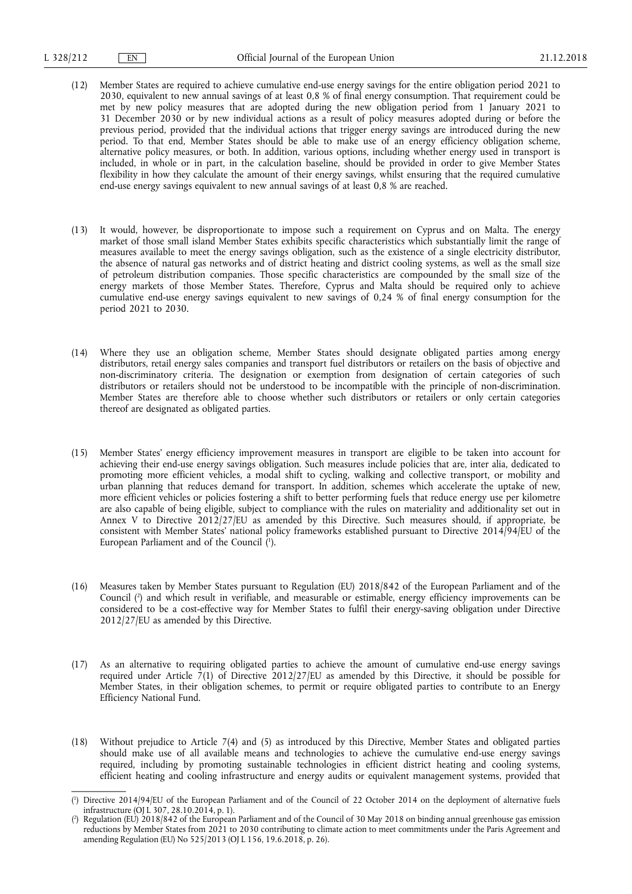- (12) Member States are required to achieve cumulative end-use energy savings for the entire obligation period 2021 to 2030, equivalent to new annual savings of at least 0,8 % of final energy consumption. That requirement could be met by new policy measures that are adopted during the new obligation period from 1 January 2021 to 31 December 2030 or by new individual actions as a result of policy measures adopted during or before the previous period, provided that the individual actions that trigger energy savings are introduced during the new period. To that end, Member States should be able to make use of an energy efficiency obligation scheme, alternative policy measures, or both. In addition, various options, including whether energy used in transport is included, in whole or in part, in the calculation baseline, should be provided in order to give Member States flexibility in how they calculate the amount of their energy savings, whilst ensuring that the required cumulative end-use energy savings equivalent to new annual savings of at least 0,8 % are reached.
- (13) It would, however, be disproportionate to impose such a requirement on Cyprus and on Malta. The energy market of those small island Member States exhibits specific characteristics which substantially limit the range of measures available to meet the energy savings obligation, such as the existence of a single electricity distributor, the absence of natural gas networks and of district heating and district cooling systems, as well as the small size of petroleum distribution companies. Those specific characteristics are compounded by the small size of the energy markets of those Member States. Therefore, Cyprus and Malta should be required only to achieve cumulative end-use energy savings equivalent to new savings of 0,24 % of final energy consumption for the period 2021 to 2030.
- (14) Where they use an obligation scheme, Member States should designate obligated parties among energy distributors, retail energy sales companies and transport fuel distributors or retailers on the basis of objective and non-discriminatory criteria. The designation or exemption from designation of certain categories of such distributors or retailers should not be understood to be incompatible with the principle of non-discrimination. Member States are therefore able to choose whether such distributors or retailers or only certain categories thereof are designated as obligated parties.
- (15) Member States' energy efficiency improvement measures in transport are eligible to be taken into account for achieving their end-use energy savings obligation. Such measures include policies that are, inter alia, dedicated to promoting more efficient vehicles, a modal shift to cycling, walking and collective transport, or mobility and urban planning that reduces demand for transport. In addition, schemes which accelerate the uptake of new, more efficient vehicles or policies fostering a shift to better performing fuels that reduce energy use per kilometre are also capable of being eligible, subject to compliance with the rules on materiality and additionality set out in Annex V to Directive  $2012/27$  EU as amended by this Directive. Such measures should, if appropriate, be consistent with Member States' national policy frameworks established pursuant to Directive 2014/94/EU of the European Parliament and of the Council ( 1 ).
- (16) Measures taken by Member States pursuant to Regulation (EU) 2018/842 of the European Parliament and of the Council ( 2 ) and which result in verifiable, and measurable or estimable, energy efficiency improvements can be considered to be a cost-effective way for Member States to fulfil their energy-saving obligation under Directive 2012/27/EU as amended by this Directive.
- (17) As an alternative to requiring obligated parties to achieve the amount of cumulative end-use energy savings required under Article 7(1) of Directive 2012/27/EU as amended by this Directive, it should be possible for Member States, in their obligation schemes, to permit or require obligated parties to contribute to an Energy Efficiency National Fund.
- (18) Without prejudice to Article 7(4) and (5) as introduced by this Directive, Member States and obligated parties should make use of all available means and technologies to achieve the cumulative end-use energy savings required, including by promoting sustainable technologies in efficient district heating and cooling systems, efficient heating and cooling infrastructure and energy audits or equivalent management systems, provided that

<sup>(</sup> 1 ) Directive 2014/94/EU of the European Parliament and of the Council of 22 October 2014 on the deployment of alternative fuels infrastructure (OJ L 307, 28.10.2014, p. 1).

<sup>(</sup> 2 ) Regulation (EU) 2018/842 of the European Parliament and of the Council of 30 May 2018 on binding annual greenhouse gas emission reductions by Member States from 2021 to 2030 contributing to climate action to meet commitments under the Paris Agreement and amending Regulation (EU) No 525/2013 (OJ L 156, 19.6.2018, p. 26).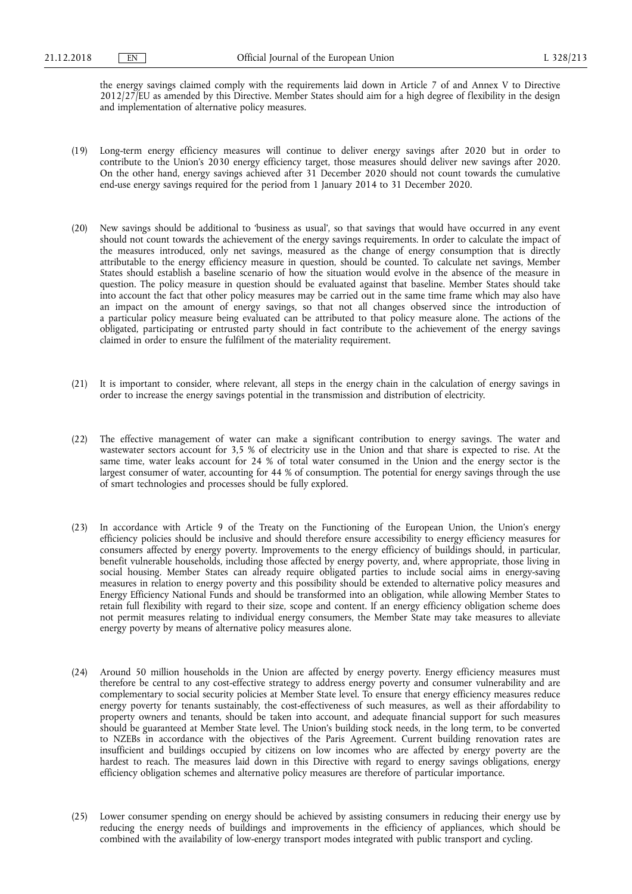the energy savings claimed comply with the requirements laid down in Article 7 of and Annex V to Directive 2012/27/EU as amended by this Directive. Member States should aim for a high degree of flexibility in the design and implementation of alternative policy measures.

- (19) Long-term energy efficiency measures will continue to deliver energy savings after 2020 but in order to contribute to the Union's 2030 energy efficiency target, those measures should deliver new savings after 2020. On the other hand, energy savings achieved after 31 December 2020 should not count towards the cumulative end-use energy savings required for the period from 1 January 2014 to 31 December 2020.
- (20) New savings should be additional to 'business as usual', so that savings that would have occurred in any event should not count towards the achievement of the energy savings requirements. In order to calculate the impact of the measures introduced, only net savings, measured as the change of energy consumption that is directly attributable to the energy efficiency measure in question, should be counted. To calculate net savings, Member States should establish a baseline scenario of how the situation would evolve in the absence of the measure in question. The policy measure in question should be evaluated against that baseline. Member States should take into account the fact that other policy measures may be carried out in the same time frame which may also have an impact on the amount of energy savings, so that not all changes observed since the introduction of a particular policy measure being evaluated can be attributed to that policy measure alone. The actions of the obligated, participating or entrusted party should in fact contribute to the achievement of the energy savings claimed in order to ensure the fulfilment of the materiality requirement.
- (21) It is important to consider, where relevant, all steps in the energy chain in the calculation of energy savings in order to increase the energy savings potential in the transmission and distribution of electricity.
- (22) The effective management of water can make a significant contribution to energy savings. The water and wastewater sectors account for 3,5 % of electricity use in the Union and that share is expected to rise. At the same time, water leaks account for 24 % of total water consumed in the Union and the energy sector is the largest consumer of water, accounting for 44 % of consumption. The potential for energy savings through the use of smart technologies and processes should be fully explored.
- (23) In accordance with Article 9 of the Treaty on the Functioning of the European Union, the Union's energy efficiency policies should be inclusive and should therefore ensure accessibility to energy efficiency measures for consumers affected by energy poverty. Improvements to the energy efficiency of buildings should, in particular, benefit vulnerable households, including those affected by energy poverty, and, where appropriate, those living in social housing. Member States can already require obligated parties to include social aims in energy-saving measures in relation to energy poverty and this possibility should be extended to alternative policy measures and Energy Efficiency National Funds and should be transformed into an obligation, while allowing Member States to retain full flexibility with regard to their size, scope and content. If an energy efficiency obligation scheme does not permit measures relating to individual energy consumers, the Member State may take measures to alleviate energy poverty by means of alternative policy measures alone.
- (24) Around 50 million households in the Union are affected by energy poverty. Energy efficiency measures must therefore be central to any cost-effective strategy to address energy poverty and consumer vulnerability and are complementary to social security policies at Member State level. To ensure that energy efficiency measures reduce energy poverty for tenants sustainably, the cost-effectiveness of such measures, as well as their affordability to property owners and tenants, should be taken into account, and adequate financial support for such measures should be guaranteed at Member State level. The Union's building stock needs, in the long term, to be converted to NZEBs in accordance with the objectives of the Paris Agreement. Current building renovation rates are insufficient and buildings occupied by citizens on low incomes who are affected by energy poverty are the hardest to reach. The measures laid down in this Directive with regard to energy savings obligations, energy efficiency obligation schemes and alternative policy measures are therefore of particular importance.
- (25) Lower consumer spending on energy should be achieved by assisting consumers in reducing their energy use by reducing the energy needs of buildings and improvements in the efficiency of appliances, which should be combined with the availability of low-energy transport modes integrated with public transport and cycling.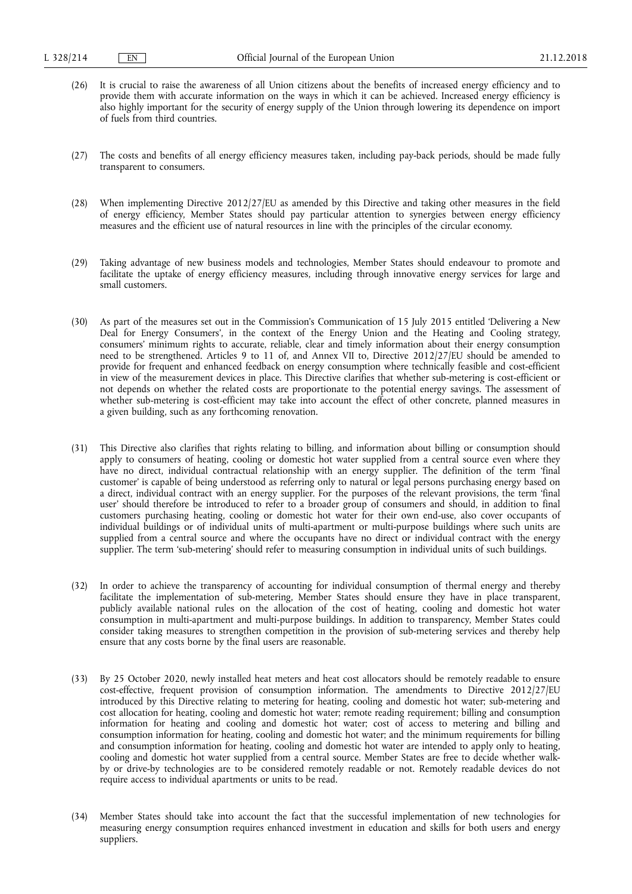- (26) It is crucial to raise the awareness of all Union citizens about the benefits of increased energy efficiency and to provide them with accurate information on the ways in which it can be achieved. Increased energy efficiency is also highly important for the security of energy supply of the Union through lowering its dependence on import of fuels from third countries.
- (27) The costs and benefits of all energy efficiency measures taken, including pay-back periods, should be made fully transparent to consumers.
- (28) When implementing Directive 2012/27/EU as amended by this Directive and taking other measures in the field of energy efficiency, Member States should pay particular attention to synergies between energy efficiency measures and the efficient use of natural resources in line with the principles of the circular economy.
- (29) Taking advantage of new business models and technologies, Member States should endeavour to promote and facilitate the uptake of energy efficiency measures, including through innovative energy services for large and small customers.
- (30) As part of the measures set out in the Commission's Communication of 15 July 2015 entitled 'Delivering a New Deal for Energy Consumers', in the context of the Energy Union and the Heating and Cooling strategy, consumers' minimum rights to accurate, reliable, clear and timely information about their energy consumption need to be strengthened. Articles 9 to 11 of, and Annex VII to, Directive 2012/27/EU should be amended to provide for frequent and enhanced feedback on energy consumption where technically feasible and cost-efficient in view of the measurement devices in place. This Directive clarifies that whether sub-metering is cost-efficient or not depends on whether the related costs are proportionate to the potential energy savings. The assessment of whether sub-metering is cost-efficient may take into account the effect of other concrete, planned measures in a given building, such as any forthcoming renovation.
- (31) This Directive also clarifies that rights relating to billing, and information about billing or consumption should apply to consumers of heating, cooling or domestic hot water supplied from a central source even where they have no direct, individual contractual relationship with an energy supplier. The definition of the term 'final customer' is capable of being understood as referring only to natural or legal persons purchasing energy based on a direct, individual contract with an energy supplier. For the purposes of the relevant provisions, the term 'final user' should therefore be introduced to refer to a broader group of consumers and should, in addition to final customers purchasing heating, cooling or domestic hot water for their own end-use, also cover occupants of individual buildings or of individual units of multi-apartment or multi-purpose buildings where such units are supplied from a central source and where the occupants have no direct or individual contract with the energy supplier. The term 'sub-metering' should refer to measuring consumption in individual units of such buildings.
- (32) In order to achieve the transparency of accounting for individual consumption of thermal energy and thereby facilitate the implementation of sub-metering, Member States should ensure they have in place transparent, publicly available national rules on the allocation of the cost of heating, cooling and domestic hot water consumption in multi-apartment and multi-purpose buildings. In addition to transparency, Member States could consider taking measures to strengthen competition in the provision of sub-metering services and thereby help ensure that any costs borne by the final users are reasonable.
- (33) By 25 October 2020, newly installed heat meters and heat cost allocators should be remotely readable to ensure cost-effective, frequent provision of consumption information. The amendments to Directive 2012/27/EU introduced by this Directive relating to metering for heating, cooling and domestic hot water; sub-metering and cost allocation for heating, cooling and domestic hot water; remote reading requirement; billing and consumption information for heating and cooling and domestic hot water; cost of access to metering and billing and consumption information for heating, cooling and domestic hot water; and the minimum requirements for billing and consumption information for heating, cooling and domestic hot water are intended to apply only to heating, cooling and domestic hot water supplied from a central source. Member States are free to decide whether walkby or drive-by technologies are to be considered remotely readable or not. Remotely readable devices do not require access to individual apartments or units to be read.
- (34) Member States should take into account the fact that the successful implementation of new technologies for measuring energy consumption requires enhanced investment in education and skills for both users and energy suppliers.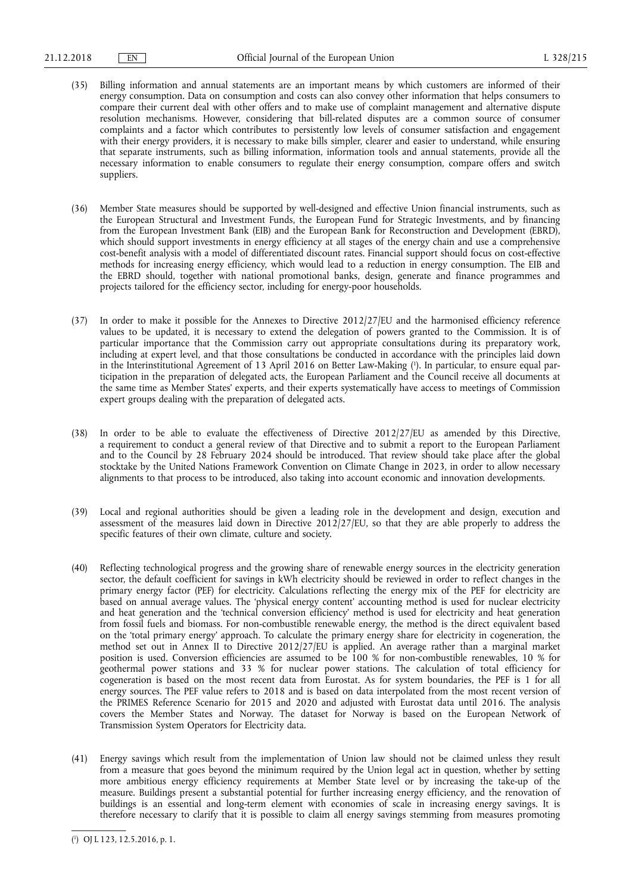- (35) Billing information and annual statements are an important means by which customers are informed of their energy consumption. Data on consumption and costs can also convey other information that helps consumers to compare their current deal with other offers and to make use of complaint management and alternative dispute resolution mechanisms. However, considering that bill-related disputes are a common source of consumer complaints and a factor which contributes to persistently low levels of consumer satisfaction and engagement with their energy providers, it is necessary to make bills simpler, clearer and easier to understand, while ensuring that separate instruments, such as billing information, information tools and annual statements, provide all the necessary information to enable consumers to regulate their energy consumption, compare offers and switch suppliers.
- (36) Member State measures should be supported by well-designed and effective Union financial instruments, such as the European Structural and Investment Funds, the European Fund for Strategic Investments, and by financing from the European Investment Bank (EIB) and the European Bank for Reconstruction and Development (EBRD), which should support investments in energy efficiency at all stages of the energy chain and use a comprehensive cost-benefit analysis with a model of differentiated discount rates. Financial support should focus on cost-effective methods for increasing energy efficiency, which would lead to a reduction in energy consumption. The EIB and the EBRD should, together with national promotional banks, design, generate and finance programmes and projects tailored for the efficiency sector, including for energy-poor households.
- (37) In order to make it possible for the Annexes to Directive 2012/27/EU and the harmonised efficiency reference values to be updated, it is necessary to extend the delegation of powers granted to the Commission. It is of particular importance that the Commission carry out appropriate consultations during its preparatory work, including at expert level, and that those consultations be conducted in accordance with the principles laid down in the Interinstitutional Agreement of 13 April 2016 on Better Law-Making ( 1 ). In particular, to ensure equal participation in the preparation of delegated acts, the European Parliament and the Council receive all documents at the same time as Member States' experts, and their experts systematically have access to meetings of Commission expert groups dealing with the preparation of delegated acts.
- (38) In order to be able to evaluate the effectiveness of Directive 2012/27/EU as amended by this Directive, a requirement to conduct a general review of that Directive and to submit a report to the European Parliament and to the Council by 28 February 2024 should be introduced. That review should take place after the global stocktake by the United Nations Framework Convention on Climate Change in 2023, in order to allow necessary alignments to that process to be introduced, also taking into account economic and innovation developments.
- (39) Local and regional authorities should be given a leading role in the development and design, execution and assessment of the measures laid down in Directive 2012/27/EU, so that they are able properly to address the specific features of their own climate, culture and society.
- (40) Reflecting technological progress and the growing share of renewable energy sources in the electricity generation sector, the default coefficient for savings in kWh electricity should be reviewed in order to reflect changes in the primary energy factor (PEF) for electricity. Calculations reflecting the energy mix of the PEF for electricity are based on annual average values. The 'physical energy content' accounting method is used for nuclear electricity and heat generation and the 'technical conversion efficiency' method is used for electricity and heat generation from fossil fuels and biomass. For non-combustible renewable energy, the method is the direct equivalent based on the 'total primary energy' approach. To calculate the primary energy share for electricity in cogeneration, the method set out in Annex II to Directive 2012/27/EU is applied. An average rather than a marginal market position is used. Conversion efficiencies are assumed to be 100 % for non-combustible renewables, 10 % for geothermal power stations and 33 % for nuclear power stations. The calculation of total efficiency for cogeneration is based on the most recent data from Eurostat. As for system boundaries, the PEF is 1 for all energy sources. The PEF value refers to 2018 and is based on data interpolated from the most recent version of the PRIMES Reference Scenario for 2015 and 2020 and adjusted with Eurostat data until 2016. The analysis covers the Member States and Norway. The dataset for Norway is based on the European Network of Transmission System Operators for Electricity data.
- (41) Energy savings which result from the implementation of Union law should not be claimed unless they result from a measure that goes beyond the minimum required by the Union legal act in question, whether by setting more ambitious energy efficiency requirements at Member State level or by increasing the take-up of the measure. Buildings present a substantial potential for further increasing energy efficiency, and the renovation of buildings is an essential and long-term element with economies of scale in increasing energy savings. It is therefore necessary to clarify that it is possible to claim all energy savings stemming from measures promoting

<sup>(</sup> 1 ) OJ L 123, 12.5.2016, p. 1.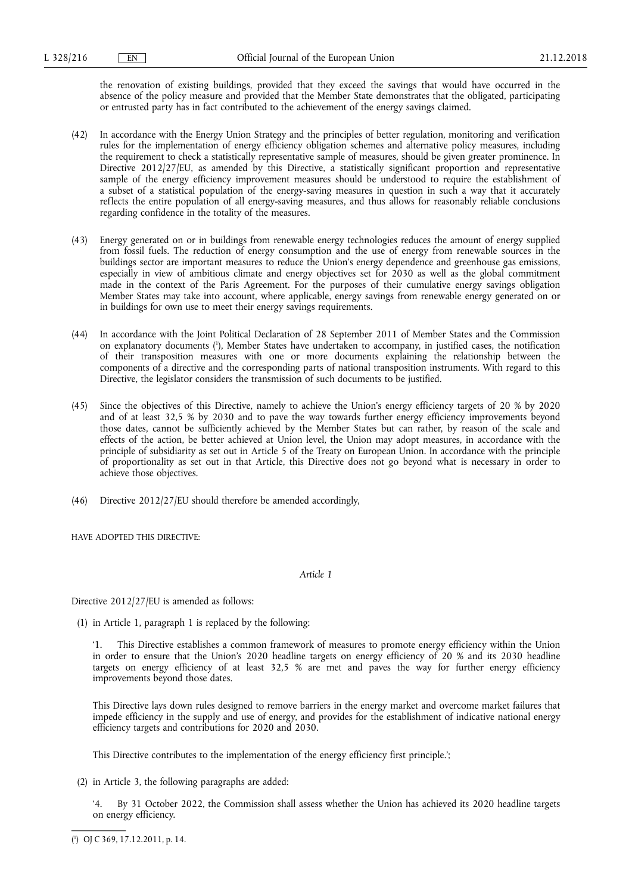the renovation of existing buildings, provided that they exceed the savings that would have occurred in the absence of the policy measure and provided that the Member State demonstrates that the obligated, participating or entrusted party has in fact contributed to the achievement of the energy savings claimed.

- (42) In accordance with the Energy Union Strategy and the principles of better regulation, monitoring and verification rules for the implementation of energy efficiency obligation schemes and alternative policy measures, including the requirement to check a statistically representative sample of measures, should be given greater prominence. In Directive 2012/27/EU, as amended by this Directive, a statistically significant proportion and representative sample of the energy efficiency improvement measures should be understood to require the establishment of a subset of a statistical population of the energy-saving measures in question in such a way that it accurately reflects the entire population of all energy-saving measures, and thus allows for reasonably reliable conclusions regarding confidence in the totality of the measures.
- (43) Energy generated on or in buildings from renewable energy technologies reduces the amount of energy supplied from fossil fuels. The reduction of energy consumption and the use of energy from renewable sources in the buildings sector are important measures to reduce the Union's energy dependence and greenhouse gas emissions, especially in view of ambitious climate and energy objectives set for 2030 as well as the global commitment made in the context of the Paris Agreement. For the purposes of their cumulative energy savings obligation Member States may take into account, where applicable, energy savings from renewable energy generated on or in buildings for own use to meet their energy savings requirements.
- (44) In accordance with the Joint Political Declaration of 28 September 2011 of Member States and the Commission on explanatory documents ( 1 ), Member States have undertaken to accompany, in justified cases, the notification of their transposition measures with one or more documents explaining the relationship between the components of a directive and the corresponding parts of national transposition instruments. With regard to this Directive, the legislator considers the transmission of such documents to be justified.
- (45) Since the objectives of this Directive, namely to achieve the Union's energy efficiency targets of 20 % by 2020 and of at least 32,5 % by 2030 and to pave the way towards further energy efficiency improvements beyond those dates, cannot be sufficiently achieved by the Member States but can rather, by reason of the scale and effects of the action, be better achieved at Union level, the Union may adopt measures, in accordance with the principle of subsidiarity as set out in Article 5 of the Treaty on European Union. In accordance with the principle of proportionality as set out in that Article, this Directive does not go beyond what is necessary in order to achieve those objectives.
- (46) Directive 2012/27/EU should therefore be amended accordingly,

HAVE ADOPTED THIS DIRECTIVE:

*Article 1* 

Directive 2012/27/EU is amended as follows:

(1) in Article 1, paragraph 1 is replaced by the following:

'1. This Directive establishes a common framework of measures to promote energy efficiency within the Union in order to ensure that the Union's 2020 headline targets on energy efficiency of 20 % and its 2030 headline targets on energy efficiency of at least 32,5 % are met and paves the way for further energy efficiency improvements beyond those dates.

This Directive lays down rules designed to remove barriers in the energy market and overcome market failures that impede efficiency in the supply and use of energy, and provides for the establishment of indicative national energy efficiency targets and contributions for 2020 and 2030.

This Directive contributes to the implementation of the energy efficiency first principle.';

(2) in Article 3, the following paragraphs are added:

By 31 October 2022, the Commission shall assess whether the Union has achieved its 2020 headline targets on energy efficiency.

<sup>(</sup> 1 ) OJ C 369, 17.12.2011, p. 14.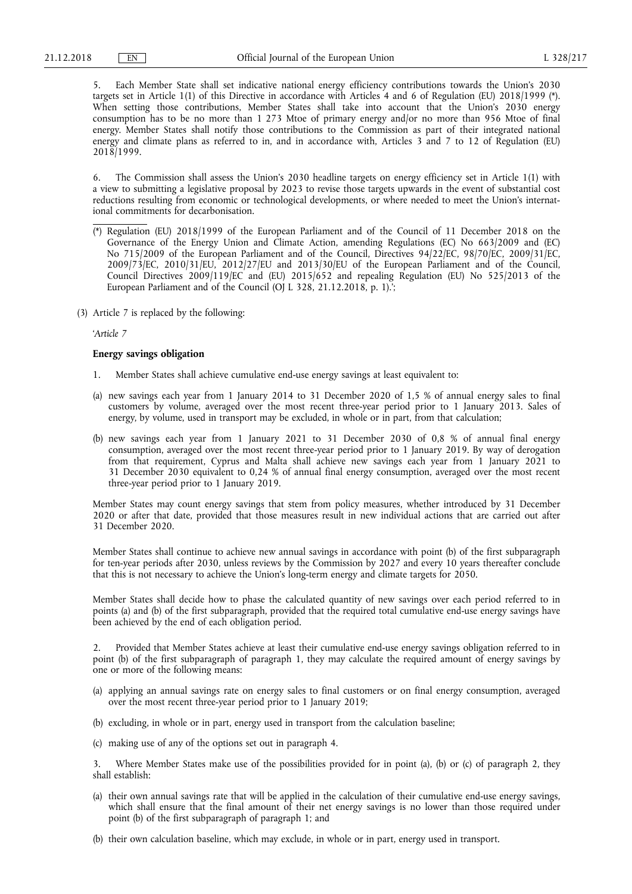5. Each Member State shall set indicative national energy efficiency contributions towards the Union's 2030 targets set in Article 1(1) of this Directive in accordance with Articles 4 and 6 of Regulation (EU) 2018/1999 (\*). When setting those contributions, Member States shall take into account that the Union's 2030 energy consumption has to be no more than 1 273 Mtoe of primary energy and/or no more than 956 Mtoe of final energy. Member States shall notify those contributions to the Commission as part of their integrated national energy and climate plans as referred to in, and in accordance with, Articles 3 and 7 to 12 of Regulation (EU) 2018/1999.

6. The Commission shall assess the Union's 2030 headline targets on energy efficiency set in Article 1(1) with a view to submitting a legislative proposal by 2023 to revise those targets upwards in the event of substantial cost reductions resulting from economic or technological developments, or where needed to meet the Union's international commitments for decarbonisation.

- (\*) Regulation (EU) 2018/1999 of the European Parliament and of the Council of 11 December 2018 on the Governance of the Energy Union and Climate Action, amending Regulations (EC) No 663/2009 and (EC) No 715/2009 of the European Parliament and of the Council, Directives 94/22/EC, 98/70/EC, 2009/31/EC, 2009/73/EC, 2010/31/EU, 2012/27/EU and 2013/30/EU of the European Parliament and of the Council, Council Directives 2009/119/EC and (EU) 2015/652 and repealing Regulation (EU) No 525/2013 of the European Parliament and of the Council (OJ L 328, 21.12.2018, p. 1).;
- (3) Article 7 is replaced by the following:

'*Article 7* 

### **Energy savings obligation**

- 1. Member States shall achieve cumulative end-use energy savings at least equivalent to:
- (a) new savings each year from 1 January 2014 to 31 December 2020 of 1,5 % of annual energy sales to final customers by volume, averaged over the most recent three-year period prior to 1 January 2013. Sales of energy, by volume, used in transport may be excluded, in whole or in part, from that calculation;
- (b) new savings each year from 1 January 2021 to 31 December 2030 of 0,8 % of annual final energy consumption, averaged over the most recent three-year period prior to 1 January 2019. By way of derogation from that requirement, Cyprus and Malta shall achieve new savings each year from 1 January 2021 to 31 December 2030 equivalent to 0,24 % of annual final energy consumption, averaged over the most recent three-year period prior to 1 January 2019.

Member States may count energy savings that stem from policy measures, whether introduced by 31 December 2020 or after that date, provided that those measures result in new individual actions that are carried out after 31 December 2020.

Member States shall continue to achieve new annual savings in accordance with point (b) of the first subparagraph for ten-year periods after 2030, unless reviews by the Commission by 2027 and every 10 years thereafter conclude that this is not necessary to achieve the Union's long-term energy and climate targets for 2050.

Member States shall decide how to phase the calculated quantity of new savings over each period referred to in points (a) and (b) of the first subparagraph, provided that the required total cumulative end-use energy savings have been achieved by the end of each obligation period.

2. Provided that Member States achieve at least their cumulative end-use energy savings obligation referred to in point (b) of the first subparagraph of paragraph 1, they may calculate the required amount of energy savings by one or more of the following means:

- (a) applying an annual savings rate on energy sales to final customers or on final energy consumption, averaged over the most recent three-year period prior to 1 January 2019;
- (b) excluding, in whole or in part, energy used in transport from the calculation baseline;
- (c) making use of any of the options set out in paragraph 4.

3. Where Member States make use of the possibilities provided for in point (a), (b) or (c) of paragraph 2, they shall establish:

- (a) their own annual savings rate that will be applied in the calculation of their cumulative end-use energy savings, which shall ensure that the final amount of their net energy savings is no lower than those required under point (b) of the first subparagraph of paragraph 1; and
- (b) their own calculation baseline, which may exclude, in whole or in part, energy used in transport.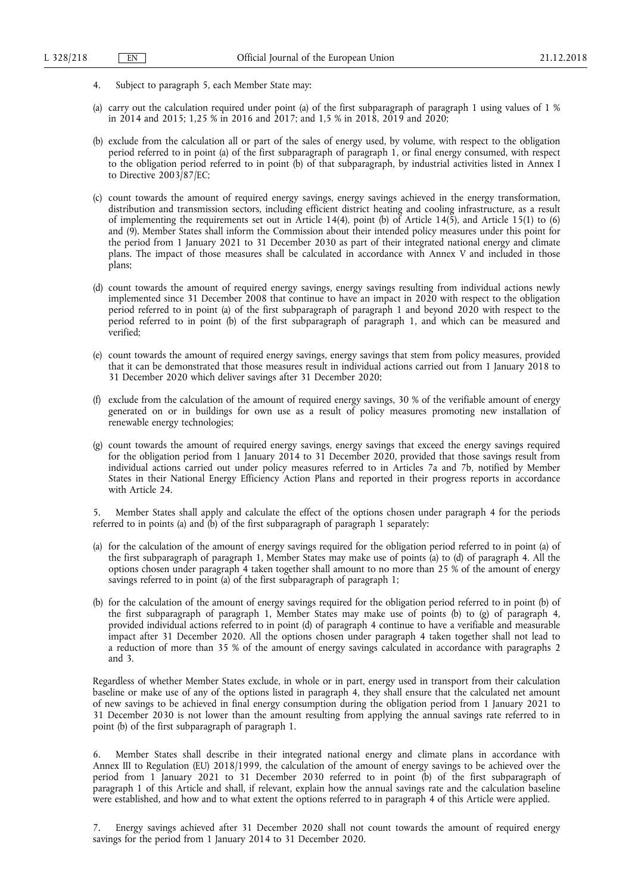- 4. Subject to paragraph 5, each Member State may:
- (a) carry out the calculation required under point (a) of the first subparagraph of paragraph 1 using values of 1 % in 2014 and 2015; 1,25 % in 2016 and 2017; and 1,5 % in 2018, 2019 and 2020;
- (b) exclude from the calculation all or part of the sales of energy used, by volume, with respect to the obligation period referred to in point (a) of the first subparagraph of paragraph 1, or final energy consumed, with respect to the obligation period referred to in point (b) of that subparagraph, by industrial activities listed in Annex I to Directive 2003/87/EC;
- (c) count towards the amount of required energy savings, energy savings achieved in the energy transformation, distribution and transmission sectors, including efficient district heating and cooling infrastructure, as a result of implementing the requirements set out in Article 14(4), point (b) of Article 14(5), and Article 15(1) to (6) and (9). Member States shall inform the Commission about their intended policy measures under this point for the period from 1 January 2021 to 31 December 2030 as part of their integrated national energy and climate plans. The impact of those measures shall be calculated in accordance with Annex V and included in those plans;
- (d) count towards the amount of required energy savings, energy savings resulting from individual actions newly implemented since 31 December 2008 that continue to have an impact in 2020 with respect to the obligation period referred to in point (a) of the first subparagraph of paragraph 1 and beyond 2020 with respect to the period referred to in point (b) of the first subparagraph of paragraph 1, and which can be measured and verified;
- (e) count towards the amount of required energy savings, energy savings that stem from policy measures, provided that it can be demonstrated that those measures result in individual actions carried out from 1 January 2018 to 31 December 2020 which deliver savings after 31 December 2020;
- (f) exclude from the calculation of the amount of required energy savings, 30 % of the verifiable amount of energy generated on or in buildings for own use as a result of policy measures promoting new installation of renewable energy technologies;
- (g) count towards the amount of required energy savings, energy savings that exceed the energy savings required for the obligation period from 1 January 2014 to 31 December 2020, provided that those savings result from individual actions carried out under policy measures referred to in Articles 7a and 7b, notified by Member States in their National Energy Efficiency Action Plans and reported in their progress reports in accordance with Article 24.

5. Member States shall apply and calculate the effect of the options chosen under paragraph 4 for the periods referred to in points (a) and (b) of the first subparagraph of paragraph 1 separately:

- (a) for the calculation of the amount of energy savings required for the obligation period referred to in point (a) of the first subparagraph of paragraph 1, Member States may make use of points (a) to (d) of paragraph 4. All the options chosen under paragraph 4 taken together shall amount to no more than 25 % of the amount of energy savings referred to in point (a) of the first subparagraph of paragraph 1;
- (b) for the calculation of the amount of energy savings required for the obligation period referred to in point (b) of the first subparagraph of paragraph 1, Member States may make use of points (b) to (g) of paragraph 4, provided individual actions referred to in point (d) of paragraph 4 continue to have a verifiable and measurable impact after 31 December 2020. All the options chosen under paragraph 4 taken together shall not lead to a reduction of more than 35 % of the amount of energy savings calculated in accordance with paragraphs 2 and 3.

Regardless of whether Member States exclude, in whole or in part, energy used in transport from their calculation baseline or make use of any of the options listed in paragraph 4, they shall ensure that the calculated net amount of new savings to be achieved in final energy consumption during the obligation period from 1 January 2021 to 31 December 2030 is not lower than the amount resulting from applying the annual savings rate referred to in point (b) of the first subparagraph of paragraph 1.

6. Member States shall describe in their integrated national energy and climate plans in accordance with Annex III to Regulation (EU) 2018/1999, the calculation of the amount of energy savings to be achieved over the period from 1 January 2021 to 31 December 2030 referred to in point (b) of the first subparagraph of paragraph 1 of this Article and shall, if relevant, explain how the annual savings rate and the calculation baseline were established, and how and to what extent the options referred to in paragraph 4 of this Article were applied.

7. Energy savings achieved after 31 December 2020 shall not count towards the amount of required energy savings for the period from 1 January 2014 to 31 December 2020.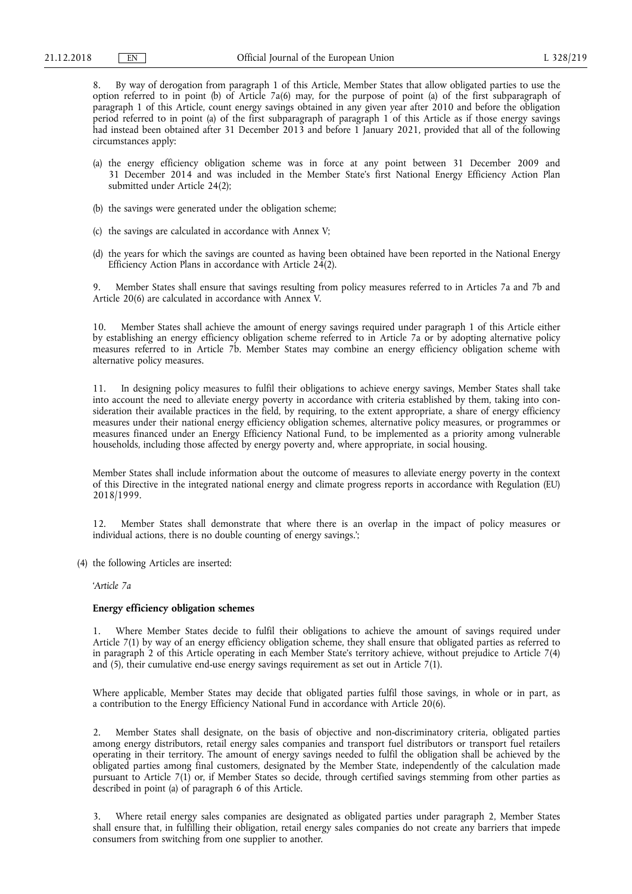8. By way of derogation from paragraph 1 of this Article, Member States that allow obligated parties to use the option referred to in point (b) of Article 7a(6) may, for the purpose of point (a) of the first subparagraph of paragraph 1 of this Article, count energy savings obtained in any given year after 2010 and before the obligation period referred to in point (a) of the first subparagraph of paragraph 1 of this Article as if those energy savings had instead been obtained after 31 December 2013 and before 1 January 2021, provided that all of the following circumstances apply:

- (a) the energy efficiency obligation scheme was in force at any point between 31 December 2009 and 31 December 2014 and was included in the Member State's first National Energy Efficiency Action Plan submitted under Article 24(2);
- (b) the savings were generated under the obligation scheme;
- (c) the savings are calculated in accordance with Annex V;
- (d) the years for which the savings are counted as having been obtained have been reported in the National Energy Efficiency Action Plans in accordance with Article  $24(2)$ .

9. Member States shall ensure that savings resulting from policy measures referred to in Articles 7a and 7b and Article 20(6) are calculated in accordance with Annex V.

10. Member States shall achieve the amount of energy savings required under paragraph 1 of this Article either by establishing an energy efficiency obligation scheme referred to in Article 7a or by adopting alternative policy measures referred to in Article 7b. Member States may combine an energy efficiency obligation scheme with alternative policy measures.

11. In designing policy measures to fulfil their obligations to achieve energy savings, Member States shall take into account the need to alleviate energy poverty in accordance with criteria established by them, taking into consideration their available practices in the field, by requiring, to the extent appropriate, a share of energy efficiency measures under their national energy efficiency obligation schemes, alternative policy measures, or programmes or measures financed under an Energy Efficiency National Fund, to be implemented as a priority among vulnerable households, including those affected by energy poverty and, where appropriate, in social housing.

Member States shall include information about the outcome of measures to alleviate energy poverty in the context of this Directive in the integrated national energy and climate progress reports in accordance with Regulation (EU) 2018/1999.

12. Member States shall demonstrate that where there is an overlap in the impact of policy measures or individual actions, there is no double counting of energy savings.';

(4) the following Articles are inserted:

'*Article 7a* 

### **Energy efficiency obligation schemes**

1. Where Member States decide to fulfil their obligations to achieve the amount of savings required under Article 7(1) by way of an energy efficiency obligation scheme, they shall ensure that obligated parties as referred to in paragraph 2 of this Article operating in each Member State's territory achieve, without prejudice to Article 7(4) and (5), their cumulative end-use energy savings requirement as set out in Article 7(1).

Where applicable, Member States may decide that obligated parties fulfil those savings, in whole or in part, as a contribution to the Energy Efficiency National Fund in accordance with Article 20(6).

2. Member States shall designate, on the basis of objective and non-discriminatory criteria, obligated parties among energy distributors, retail energy sales companies and transport fuel distributors or transport fuel retailers operating in their territory. The amount of energy savings needed to fulfil the obligation shall be achieved by the obligated parties among final customers, designated by the Member State, independently of the calculation made pursuant to Article 7(1) or, if Member States so decide, through certified savings stemming from other parties as described in point (a) of paragraph 6 of this Article.

3. Where retail energy sales companies are designated as obligated parties under paragraph 2, Member States shall ensure that, in fulfilling their obligation, retail energy sales companies do not create any barriers that impede consumers from switching from one supplier to another.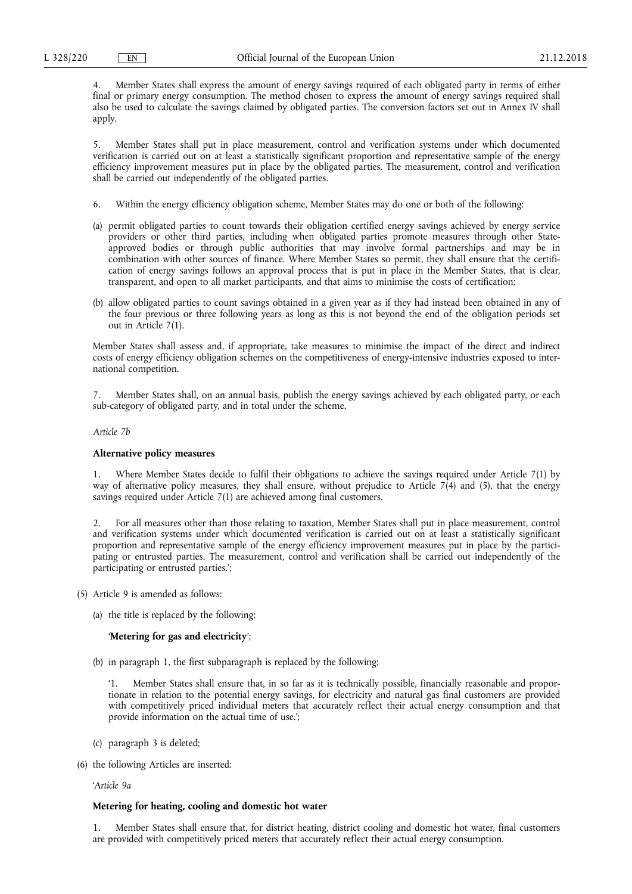4. Member States shall express the amount of energy savings required of each obligated party in terms of either final or primary energy consumption. The method chosen to express the amount of energy savings required shall also be used to calculate the savings claimed by obligated parties. The conversion factors set out in Annex IV shall apply.

5. Member States shall put in place measurement, control and verification systems under which documented verification is carried out on at least a statistically significant proportion and representative sample of the energy efficiency improvement measures put in place by the obligated parties. The measurement, control and verification shall be carried out independently of the obligated parties.

- 6. Within the energy efficiency obligation scheme, Member States may do one or both of the following:
- (a) permit obligated parties to count towards their obligation certified energy savings achieved by energy service providers or other third parties, including when obligated parties promote measures through other Stateapproved bodies or through public authorities that may involve formal partnerships and may be in combination with other sources of finance. Where Member States so permit, they shall ensure that the certification of energy savings follows an approval process that is put in place in the Member States, that is clear, transparent, and open to all market participants, and that aims to minimise the costs of certification;
- (b) allow obligated parties to count savings obtained in a given year as if they had instead been obtained in any of the four previous or three following years as long as this is not beyond the end of the obligation periods set out in Article 7(1).

Member States shall assess and, if appropriate, take measures to minimise the impact of the direct and indirect costs of energy efficiency obligation schemes on the competitiveness of energy-intensive industries exposed to international competition.

7. Member States shall, on an annual basis, publish the energy savings achieved by each obligated party, or each sub-category of obligated party, and in total under the scheme.

*Article 7b* 

### **Alternative policy measures**

1. Where Member States decide to fulfil their obligations to achieve the savings required under Article 7(1) by way of alternative policy measures, they shall ensure, without prejudice to Article 7(4) and (5), that the energy savings required under Article 7(1) are achieved among final customers.

2. For all measures other than those relating to taxation, Member States shall put in place measurement, control and verification systems under which documented verification is carried out on at least a statistically significant proportion and representative sample of the energy efficiency improvement measures put in place by the participating or entrusted parties. The measurement, control and verification shall be carried out independently of the participating or entrusted parties.';

- (5) Article 9 is amended as follows:
	- (a) the title is replaced by the following:

### '**Metering for gas and electricity**';

(b) in paragraph 1, the first subparagraph is replaced by the following;

Member States shall ensure that, in so far as it is technically possible, financially reasonable and proportionate in relation to the potential energy savings, for electricity and natural gas final customers are provided with competitively priced individual meters that accurately reflect their actual energy consumption and that provide information on the actual time of use.';

- (c) paragraph 3 is deleted;
- (6) the following Articles are inserted:

'*Article 9a* 

### **Metering for heating, cooling and domestic hot water**

1. Member States shall ensure that, for district heating, district cooling and domestic hot water, final customers are provided with competitively priced meters that accurately reflect their actual energy consumption.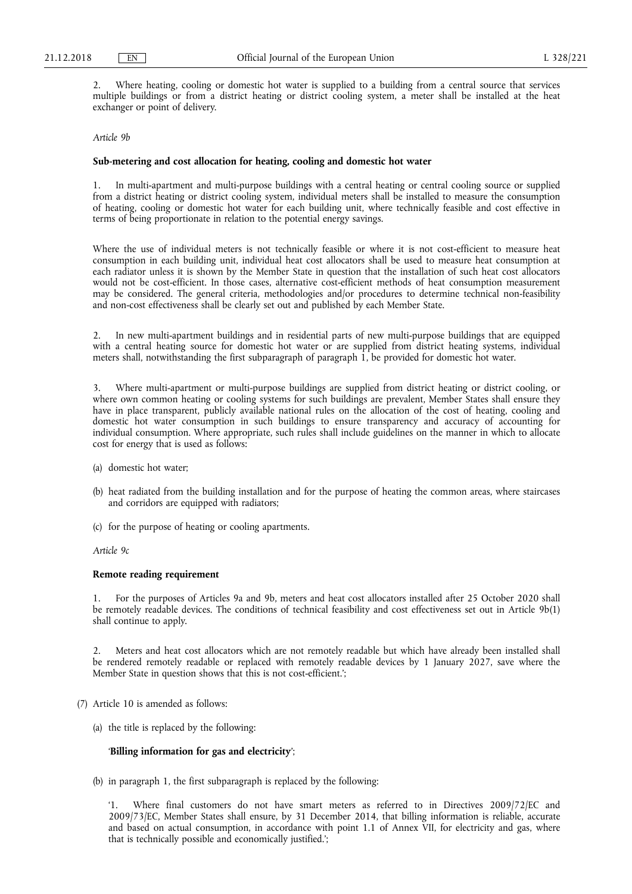2. Where heating, cooling or domestic hot water is supplied to a building from a central source that services multiple buildings or from a district heating or district cooling system, a meter shall be installed at the heat exchanger or point of delivery.

#### *Article 9b*

#### **Sub-metering and cost allocation for heating, cooling and domestic hot water**

1. In multi-apartment and multi-purpose buildings with a central heating or central cooling source or supplied from a district heating or district cooling system, individual meters shall be installed to measure the consumption of heating, cooling or domestic hot water for each building unit, where technically feasible and cost effective in terms of being proportionate in relation to the potential energy savings.

Where the use of individual meters is not technically feasible or where it is not cost-efficient to measure heat consumption in each building unit, individual heat cost allocators shall be used to measure heat consumption at each radiator unless it is shown by the Member State in question that the installation of such heat cost allocators would not be cost-efficient. In those cases, alternative cost-efficient methods of heat consumption measurement may be considered. The general criteria, methodologies and/or procedures to determine technical non-feasibility and non-cost effectiveness shall be clearly set out and published by each Member State.

2. In new multi-apartment buildings and in residential parts of new multi-purpose buildings that are equipped with a central heating source for domestic hot water or are supplied from district heating systems, individual meters shall, notwithstanding the first subparagraph of paragraph 1, be provided for domestic hot water.

3. Where multi-apartment or multi-purpose buildings are supplied from district heating or district cooling, or where own common heating or cooling systems for such buildings are prevalent, Member States shall ensure they have in place transparent, publicly available national rules on the allocation of the cost of heating, cooling and domestic hot water consumption in such buildings to ensure transparency and accuracy of accounting for individual consumption. Where appropriate, such rules shall include guidelines on the manner in which to allocate cost for energy that is used as follows:

- (a) domestic hot water;
- (b) heat radiated from the building installation and for the purpose of heating the common areas, where staircases and corridors are equipped with radiators;
- (c) for the purpose of heating or cooling apartments.

*Article 9c* 

### **Remote reading requirement**

1. For the purposes of Articles 9a and 9b, meters and heat cost allocators installed after 25 October 2020 shall be remotely readable devices. The conditions of technical feasibility and cost effectiveness set out in Article 9b(1) shall continue to apply.

2. Meters and heat cost allocators which are not remotely readable but which have already been installed shall be rendered remotely readable or replaced with remotely readable devices by 1 January 2027, save where the Member State in question shows that this is not cost-efficient.';

- (7) Article 10 is amended as follows:
	- (a) the title is replaced by the following:

### '**Billing information for gas and electricity**';

(b) in paragraph 1, the first subparagraph is replaced by the following:

'1. Where final customers do not have smart meters as referred to in Directives 2009/72/EC and 2009/73/EC, Member States shall ensure, by 31 December 2014, that billing information is reliable, accurate and based on actual consumption, in accordance with point 1.1 of Annex VII, for electricity and gas, where that is technically possible and economically justified.';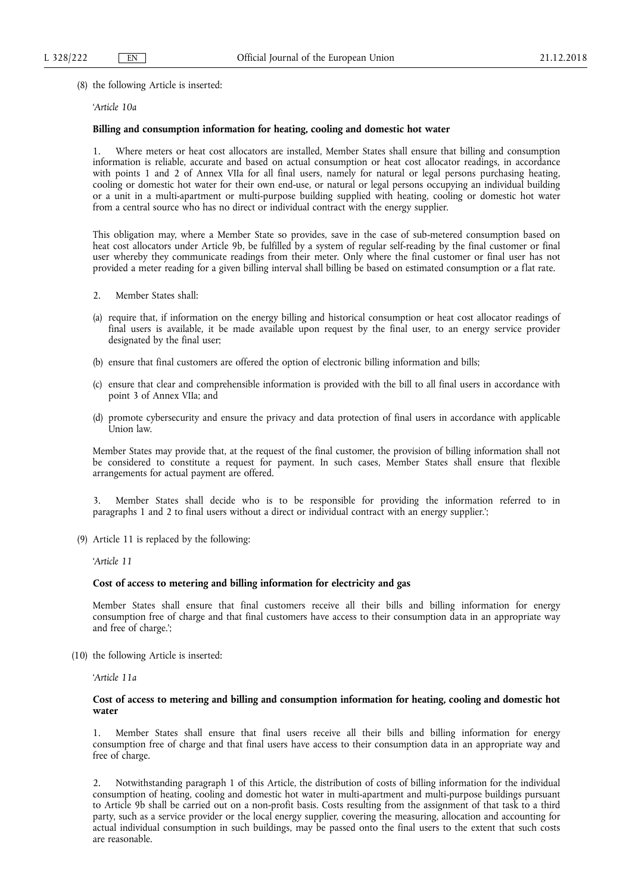(8) the following Article is inserted:

## '*Article 10a*

### **Billing and consumption information for heating, cooling and domestic hot water**

1. Where meters or heat cost allocators are installed, Member States shall ensure that billing and consumption information is reliable, accurate and based on actual consumption or heat cost allocator readings, in accordance with points 1 and 2 of Annex VIIa for all final users, namely for natural or legal persons purchasing heating, cooling or domestic hot water for their own end-use, or natural or legal persons occupying an individual building or a unit in a multi-apartment or multi-purpose building supplied with heating, cooling or domestic hot water from a central source who has no direct or individual contract with the energy supplier.

This obligation may, where a Member State so provides, save in the case of sub-metered consumption based on heat cost allocators under Article 9b, be fulfilled by a system of regular self-reading by the final customer or final user whereby they communicate readings from their meter. Only where the final customer or final user has not provided a meter reading for a given billing interval shall billing be based on estimated consumption or a flat rate.

- 2. Member States shall:
- (a) require that, if information on the energy billing and historical consumption or heat cost allocator readings of final users is available, it be made available upon request by the final user, to an energy service provider designated by the final user;
- (b) ensure that final customers are offered the option of electronic billing information and bills;
- (c) ensure that clear and comprehensible information is provided with the bill to all final users in accordance with point 3 of Annex VIIa; and
- (d) promote cybersecurity and ensure the privacy and data protection of final users in accordance with applicable Union law.

Member States may provide that, at the request of the final customer, the provision of billing information shall not be considered to constitute a request for payment. In such cases, Member States shall ensure that flexible arrangements for actual payment are offered.

3. Member States shall decide who is to be responsible for providing the information referred to in paragraphs 1 and 2 to final users without a direct or individual contract with an energy supplier.';

(9) Article 11 is replaced by the following:

'*Article 11* 

### **Cost of access to metering and billing information for electricity and gas**

Member States shall ensure that final customers receive all their bills and billing information for energy consumption free of charge and that final customers have access to their consumption data in an appropriate way and free of charge.';

(10) the following Article is inserted:

'*Article 11a* 

#### **Cost of access to metering and billing and consumption information for heating, cooling and domestic hot water**

1. Member States shall ensure that final users receive all their bills and billing information for energy consumption free of charge and that final users have access to their consumption data in an appropriate way and free of charge.

2. Notwithstanding paragraph 1 of this Article, the distribution of costs of billing information for the individual consumption of heating, cooling and domestic hot water in multi-apartment and multi-purpose buildings pursuant to Article 9b shall be carried out on a non-profit basis. Costs resulting from the assignment of that task to a third party, such as a service provider or the local energy supplier, covering the measuring, allocation and accounting for actual individual consumption in such buildings, may be passed onto the final users to the extent that such costs are reasonable.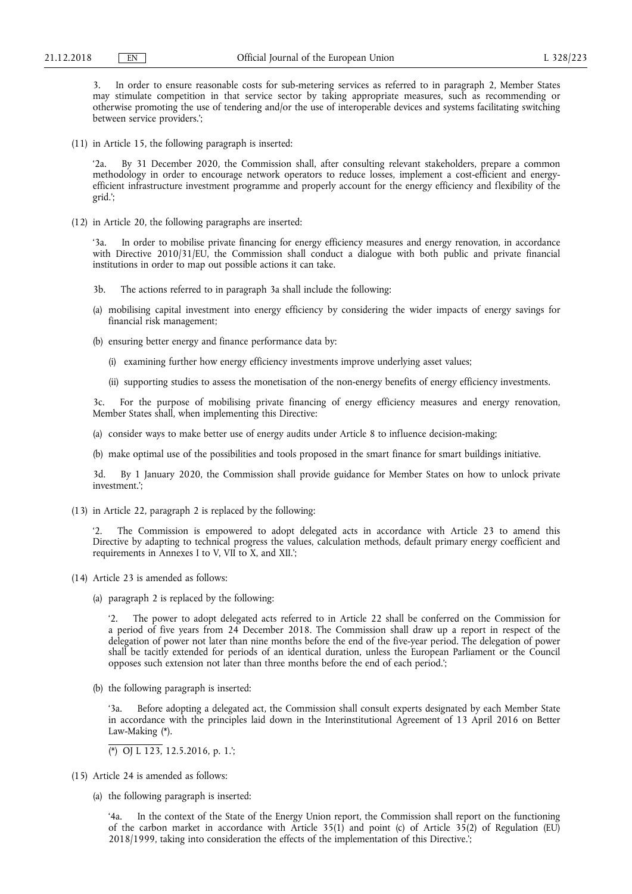3. In order to ensure reasonable costs for sub-metering services as referred to in paragraph 2, Member States may stimulate competition in that service sector by taking appropriate measures, such as recommending or otherwise promoting the use of tendering and/or the use of interoperable devices and systems facilitating switching between service providers.';

(11) in Article 15, the following paragraph is inserted:

By 31 December 2020, the Commission shall, after consulting relevant stakeholders, prepare a common methodology in order to encourage network operators to reduce losses, implement a cost-efficient and energyefficient infrastructure investment programme and properly account for the energy efficiency and flexibility of the grid.';

(12) in Article 20, the following paragraphs are inserted:

'3a. In order to mobilise private financing for energy efficiency measures and energy renovation, in accordance with Directive 2010/31/EU, the Commission shall conduct a dialogue with both public and private financial institutions in order to map out possible actions it can take.

- 3b. The actions referred to in paragraph 3a shall include the following:
- (a) mobilising capital investment into energy efficiency by considering the wider impacts of energy savings for financial risk management;
- (b) ensuring better energy and finance performance data by:
	- (i) examining further how energy efficiency investments improve underlying asset values;
	- (ii) supporting studies to assess the monetisation of the non-energy benefits of energy efficiency investments.

3c. For the purpose of mobilising private financing of energy efficiency measures and energy renovation, Member States shall, when implementing this Directive:

- (a) consider ways to make better use of energy audits under Article 8 to influence decision-making;
- (b) make optimal use of the possibilities and tools proposed in the smart finance for smart buildings initiative.

3d. By 1 January 2020, the Commission shall provide guidance for Member States on how to unlock private investment.';

(13) in Article 22, paragraph 2 is replaced by the following:

'2. The Commission is empowered to adopt delegated acts in accordance with Article 23 to amend this Directive by adapting to technical progress the values, calculation methods, default primary energy coefficient and requirements in Annexes I to V, VII to X, and XII.';

- (14) Article 23 is amended as follows:
	- (a) paragraph 2 is replaced by the following:

'2. The power to adopt delegated acts referred to in Article 22 shall be conferred on the Commission for a period of five years from 24 December 2018. The Commission shall draw up a report in respect of the delegation of power not later than nine months before the end of the five-year period. The delegation of power shall be tacitly extended for periods of an identical duration, unless the European Parliament or the Council opposes such extension not later than three months before the end of each period.';

(b) the following paragraph is inserted:

Before adopting a delegated act, the Commission shall consult experts designated by each Member State in accordance with the principles laid down in the Interinstitutional Agreement of 13 April 2016 on Better Law-Making (\*).

(\*) OJ L 123, 12.5.2016, p. 1.';

- (15) Article 24 is amended as follows:
	- (a) the following paragraph is inserted:

'4a. In the context of the State of the Energy Union report, the Commission shall report on the functioning of the carbon market in accordance with Article 35(1) and point (c) of Article 35(2) of Regulation (EU) 2018/1999, taking into consideration the effects of the implementation of this Directive.';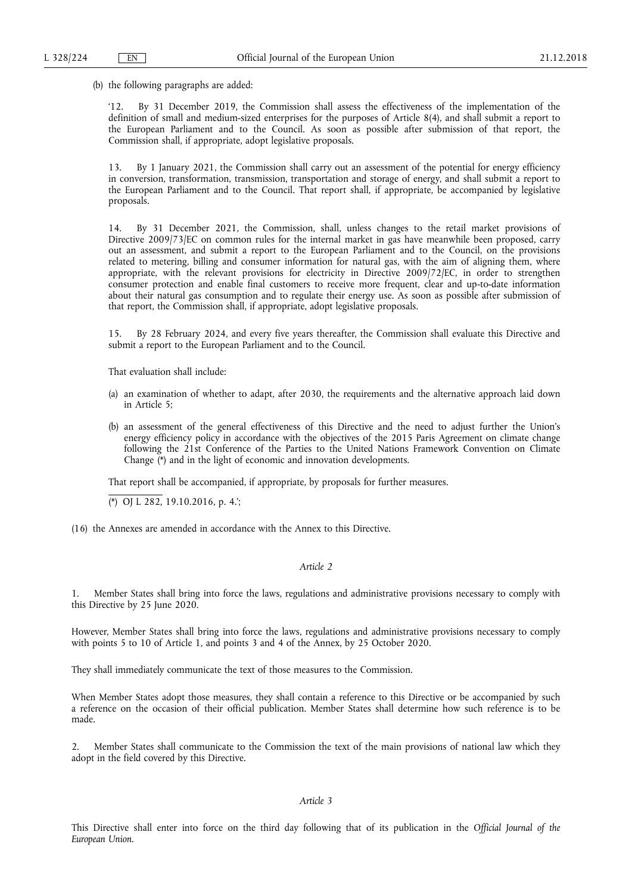(b) the following paragraphs are added:

By 31 December 2019, the Commission shall assess the effectiveness of the implementation of the definition of small and medium-sized enterprises for the purposes of Article 8(4), and shall submit a report to the European Parliament and to the Council. As soon as possible after submission of that report, the Commission shall, if appropriate, adopt legislative proposals.

13. By 1 January 2021, the Commission shall carry out an assessment of the potential for energy efficiency in conversion, transformation, transmission, transportation and storage of energy, and shall submit a report to the European Parliament and to the Council. That report shall, if appropriate, be accompanied by legislative proposals.

14. By 31 December 2021, the Commission, shall, unless changes to the retail market provisions of Directive 2009/73/EC on common rules for the internal market in gas have meanwhile been proposed, carry out an assessment, and submit a report to the European Parliament and to the Council, on the provisions related to metering, billing and consumer information for natural gas, with the aim of aligning them, where appropriate, with the relevant provisions for electricity in Directive 2009/72/EC, in order to strengthen consumer protection and enable final customers to receive more frequent, clear and up-to-date information about their natural gas consumption and to regulate their energy use. As soon as possible after submission of that report, the Commission shall, if appropriate, adopt legislative proposals.

15. By 28 February 2024, and every five years thereafter, the Commission shall evaluate this Directive and submit a report to the European Parliament and to the Council.

That evaluation shall include:

- (a) an examination of whether to adapt, after 2030, the requirements and the alternative approach laid down in Article 5;
- (b) an assessment of the general effectiveness of this Directive and the need to adjust further the Union's energy efficiency policy in accordance with the objectives of the 2015 Paris Agreement on climate change following the 21st Conference of the Parties to the United Nations Framework Convention on Climate Change (\*) and in the light of economic and innovation developments.

That report shall be accompanied, if appropriate, by proposals for further measures.

(\*) OJ L 282, 19.10.2016, p. 4.';

(16) the Annexes are amended in accordance with the Annex to this Directive.

# *Article 2*

1. Member States shall bring into force the laws, regulations and administrative provisions necessary to comply with this Directive by 25 June 2020.

However, Member States shall bring into force the laws, regulations and administrative provisions necessary to comply with points 5 to 10 of Article 1, and points 3 and 4 of the Annex, by 25 October 2020.

They shall immediately communicate the text of those measures to the Commission.

When Member States adopt those measures, they shall contain a reference to this Directive or be accompanied by such a reference on the occasion of their official publication. Member States shall determine how such reference is to be made.

2. Member States shall communicate to the Commission the text of the main provisions of national law which they adopt in the field covered by this Directive.

### *Article 3*

This Directive shall enter into force on the third day following that of its publication in the *Official Journal of the European Union*.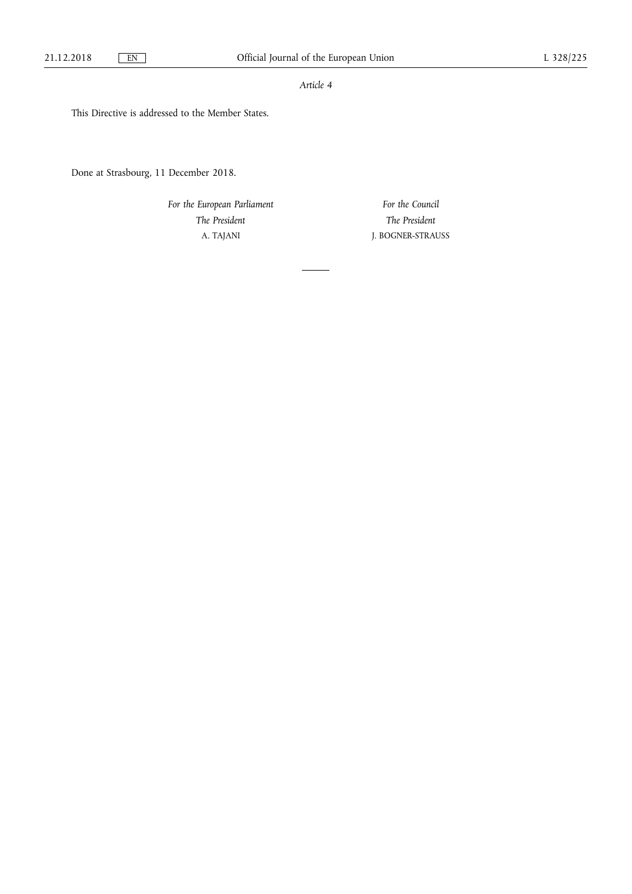# *Article 4*

This Directive is addressed to the Member States.

Done at Strasbourg, 11 December 2018.

*For the European Parliament The President*  A. TAJANI

*For the Council The President*  J. BOGNER-STRAUSS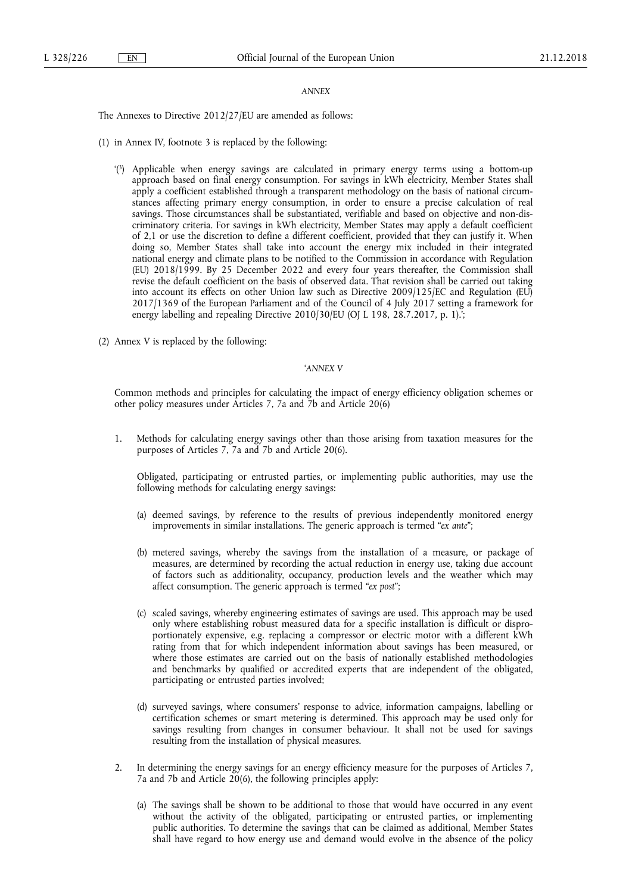#### *ANNEX*

The Annexes to Directive 2012/27/EU are amended as follows:

- (1) in Annex IV, footnote 3 is replaced by the following:
	- '(3) Applicable when energy savings are calculated in primary energy terms using a bottom-up approach based on final energy consumption. For savings in kWh electricity, Member States shall apply a coefficient established through a transparent methodology on the basis of national circumstances affecting primary energy consumption, in order to ensure a precise calculation of real savings. Those circumstances shall be substantiated, verifiable and based on objective and non-discriminatory criteria. For savings in kWh electricity, Member States may apply a default coefficient of 2,1 or use the discretion to define a different coefficient, provided that they can justify it. When doing so, Member States shall take into account the energy mix included in their integrated national energy and climate plans to be notified to the Commission in accordance with Regulation (EU) 2018/1999. By 25 December 2022 and every four years thereafter, the Commission shall revise the default coefficient on the basis of observed data. That revision shall be carried out taking into account its effects on other Union law such as Directive 2009/125/EC and Regulation (EU) 2017/1369 of the European Parliament and of the Council of 4 July 2017 setting a framework for energy labelling and repealing Directive 2010/30/EU (OJ L 198, 28.7.2017, p. 1).;
- (2) Annex V is replaced by the following:

### '*ANNEX V*

Common methods and principles for calculating the impact of energy efficiency obligation schemes or other policy measures under Articles 7, 7a and 7b and Article 20(6)

1. Methods for calculating energy savings other than those arising from taxation measures for the purposes of Articles 7, 7a and 7b and Article 20(6).

Obligated, participating or entrusted parties, or implementing public authorities, may use the following methods for calculating energy savings:

- (a) deemed savings, by reference to the results of previous independently monitored energy improvements in similar installations. The generic approach is termed "*ex ante*";
- (b) metered savings, whereby the savings from the installation of a measure, or package of measures, are determined by recording the actual reduction in energy use, taking due account of factors such as additionality, occupancy, production levels and the weather which may affect consumption. The generic approach is termed "*ex post*";
- (c) scaled savings, whereby engineering estimates of savings are used. This approach may be used only where establishing robust measured data for a specific installation is difficult or disproportionately expensive, e.g. replacing a compressor or electric motor with a different kWh rating from that for which independent information about savings has been measured, or where those estimates are carried out on the basis of nationally established methodologies and benchmarks by qualified or accredited experts that are independent of the obligated, participating or entrusted parties involved;
- (d) surveyed savings, where consumers' response to advice, information campaigns, labelling or certification schemes or smart metering is determined. This approach may be used only for savings resulting from changes in consumer behaviour. It shall not be used for savings resulting from the installation of physical measures.
- 2. In determining the energy savings for an energy efficiency measure for the purposes of Articles 7, 7a and 7b and Article 20(6), the following principles apply:
	- (a) The savings shall be shown to be additional to those that would have occurred in any event without the activity of the obligated, participating or entrusted parties, or implementing public authorities. To determine the savings that can be claimed as additional, Member States shall have regard to how energy use and demand would evolve in the absence of the policy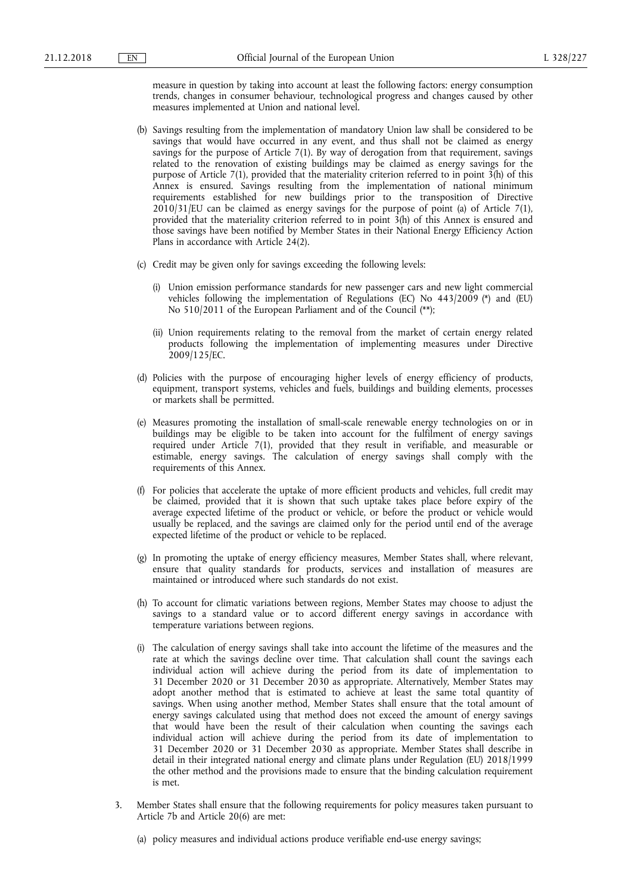measure in question by taking into account at least the following factors: energy consumption trends, changes in consumer behaviour, technological progress and changes caused by other measures implemented at Union and national level.

- (b) Savings resulting from the implementation of mandatory Union law shall be considered to be savings that would have occurred in any event, and thus shall not be claimed as energy savings for the purpose of Article 7(1). By way of derogation from that requirement, savings related to the renovation of existing buildings may be claimed as energy savings for the purpose of Article 7(1), provided that the materiality criterion referred to in point 3(h) of this Annex is ensured. Savings resulting from the implementation of national minimum requirements established for new buildings prior to the transposition of Directive 2010/31/EU can be claimed as energy savings for the purpose of point (a) of Article 7(1), provided that the materiality criterion referred to in point 3(h) of this Annex is ensured and those savings have been notified by Member States in their National Energy Efficiency Action Plans in accordance with Article 24(2).
- (c) Credit may be given only for savings exceeding the following levels:
	- (i) Union emission performance standards for new passenger cars and new light commercial vehicles following the implementation of Regulations (EC) No 443/2009 (\*) and (EU) No 510/2011 of the European Parliament and of the Council (\*\*);
	- (ii) Union requirements relating to the removal from the market of certain energy related products following the implementation of implementing measures under Directive 2009/125/EC.
- (d) Policies with the purpose of encouraging higher levels of energy efficiency of products, equipment, transport systems, vehicles and fuels, buildings and building elements, processes or markets shall be permitted.
- (e) Measures promoting the installation of small-scale renewable energy technologies on or in buildings may be eligible to be taken into account for the fulfilment of energy savings required under Article 7(1), provided that they result in verifiable, and measurable or estimable, energy savings. The calculation of energy savings shall comply with the requirements of this Annex.
- (f) For policies that accelerate the uptake of more efficient products and vehicles, full credit may be claimed, provided that it is shown that such uptake takes place before expiry of the average expected lifetime of the product or vehicle, or before the product or vehicle would usually be replaced, and the savings are claimed only for the period until end of the average expected lifetime of the product or vehicle to be replaced.
- (g) In promoting the uptake of energy efficiency measures, Member States shall, where relevant, ensure that quality standards for products, services and installation of measures are maintained or introduced where such standards do not exist.
- (h) To account for climatic variations between regions, Member States may choose to adjust the savings to a standard value or to accord different energy savings in accordance with temperature variations between regions.
- (i) The calculation of energy savings shall take into account the lifetime of the measures and the rate at which the savings decline over time. That calculation shall count the savings each individual action will achieve during the period from its date of implementation to 31 December 2020 or 31 December 2030 as appropriate. Alternatively, Member States may adopt another method that is estimated to achieve at least the same total quantity of savings. When using another method, Member States shall ensure that the total amount of energy savings calculated using that method does not exceed the amount of energy savings that would have been the result of their calculation when counting the savings each individual action will achieve during the period from its date of implementation to 31 December 2020 or 31 December 2030 as appropriate. Member States shall describe in detail in their integrated national energy and climate plans under Regulation (EU) 2018/1999 the other method and the provisions made to ensure that the binding calculation requirement is met.
- 3. Member States shall ensure that the following requirements for policy measures taken pursuant to Article 7b and Article 20(6) are met:
	- (a) policy measures and individual actions produce verifiable end-use energy savings;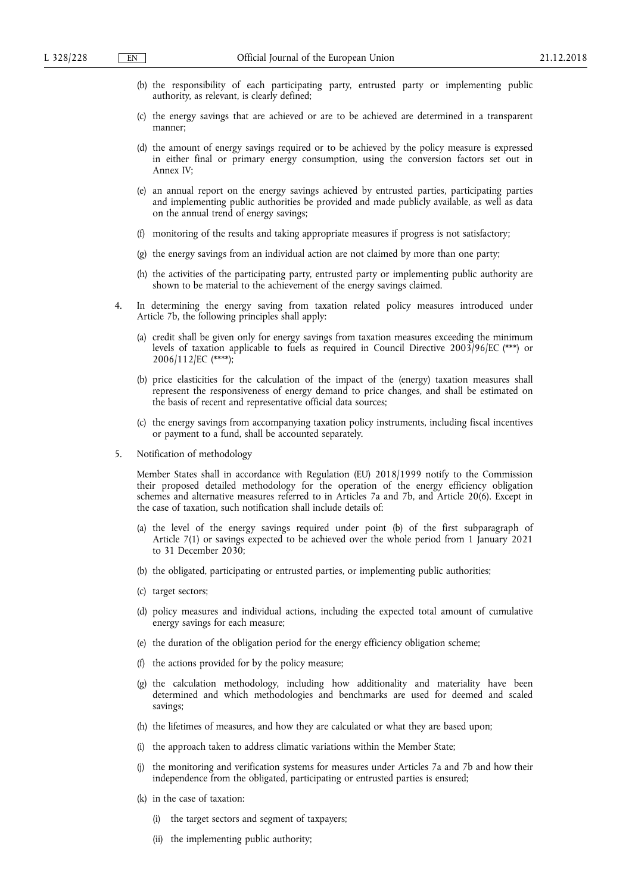- (b) the responsibility of each participating party, entrusted party or implementing public authority, as relevant, is clearly defined;
- (c) the energy savings that are achieved or are to be achieved are determined in a transparent manner;
- (d) the amount of energy savings required or to be achieved by the policy measure is expressed in either final or primary energy consumption, using the conversion factors set out in Annex IV;
- (e) an annual report on the energy savings achieved by entrusted parties, participating parties and implementing public authorities be provided and made publicly available, as well as data on the annual trend of energy savings;
- (f) monitoring of the results and taking appropriate measures if progress is not satisfactory;
- (g) the energy savings from an individual action are not claimed by more than one party;
- (h) the activities of the participating party, entrusted party or implementing public authority are shown to be material to the achievement of the energy savings claimed.
- 4. In determining the energy saving from taxation related policy measures introduced under Article 7b, the following principles shall apply:
	- (a) credit shall be given only for energy savings from taxation measures exceeding the minimum levels of taxation applicable to fuels as required in Council Directive 2003/96/EC (\*\*\*) or 2006/112/EC (\*\*\*\*);
	- (b) price elasticities for the calculation of the impact of the (energy) taxation measures shall represent the responsiveness of energy demand to price changes, and shall be estimated on the basis of recent and representative official data sources;
	- (c) the energy savings from accompanying taxation policy instruments, including fiscal incentives or payment to a fund, shall be accounted separately.
- 5. Notification of methodology

Member States shall in accordance with Regulation (EU) 2018/1999 notify to the Commission their proposed detailed methodology for the operation of the energy efficiency obligation schemes and alternative measures referred to in Articles 7a and 7b, and Article 20(6). Except in the case of taxation, such notification shall include details of:

- (a) the level of the energy savings required under point (b) of the first subparagraph of Article 7(1) or savings expected to be achieved over the whole period from 1 January 2021 to 31 December 2030;
- (b) the obligated, participating or entrusted parties, or implementing public authorities;
- (c) target sectors;
- (d) policy measures and individual actions, including the expected total amount of cumulative energy savings for each measure:
- (e) the duration of the obligation period for the energy efficiency obligation scheme;
- (f) the actions provided for by the policy measure;
- (g) the calculation methodology, including how additionality and materiality have been determined and which methodologies and benchmarks are used for deemed and scaled savings;
- (h) the lifetimes of measures, and how they are calculated or what they are based upon;
- (i) the approach taken to address climatic variations within the Member State;
- (j) the monitoring and verification systems for measures under Articles 7a and 7b and how their independence from the obligated, participating or entrusted parties is ensured;
- (k) in the case of taxation:
	- (i) the target sectors and segment of taxpayers;
	- (ii) the implementing public authority;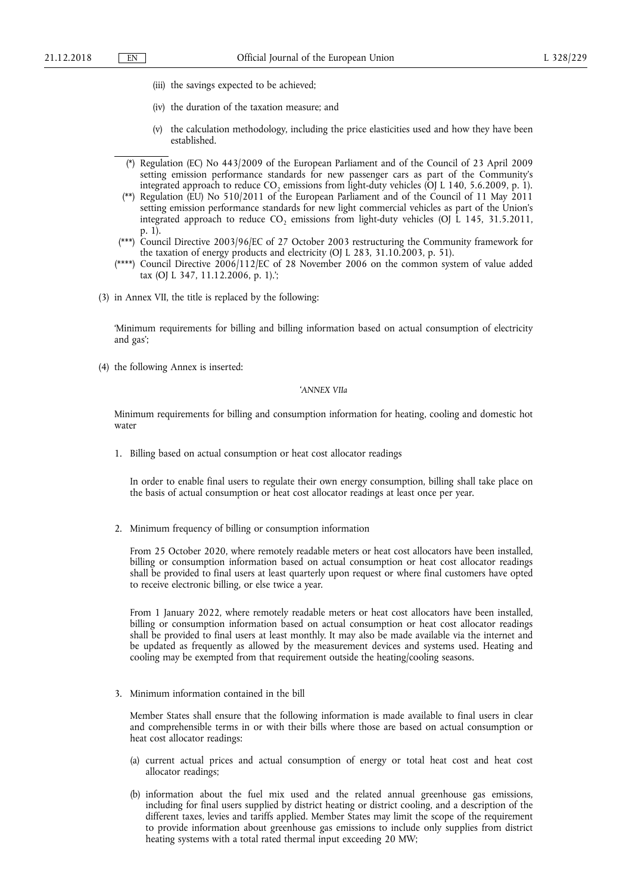- (iii) the savings expected to be achieved;
- (iv) the duration of the taxation measure; and
- (v) the calculation methodology, including the price elasticities used and how they have been established.
- (\*) Regulation (EC) No 443/2009 of the European Parliament and of the Council of 23 April 2009 setting emission performance standards for new passenger cars as part of the Community's integrated approach to reduce  $CO$ , emissions from light-duty vehicles (OJ L 140, 5.6.2009, p. 1).
- (\*\*) Regulation (EU) No 510/2011 of the European Parliament and of the Council of 11 May 2011 setting emission performance standards for new light commercial vehicles as part of the Union's integrated approach to reduce CO<sub>2</sub> emissions from light-duty vehicles (OJ  $\overline{L}$  145, 31.5.2011, p. 1).
- (\*\*\*) Council Directive 2003/96/EC of 27 October 2003 restructuring the Community framework for the taxation of energy products and electricity (OJ L 283, 31.10.2003, p. 51).
- (\*\*\*\*) Council Directive  $2006/112$  /EC of 28 November 2006 on the common system of value added tax (OJ L 347, 11.12.2006, p. 1).';
- (3) in Annex VII, the title is replaced by the following:

'Minimum requirements for billing and billing information based on actual consumption of electricity and gas';

(4) the following Annex is inserted:

### '*ANNEX VIIa*

Minimum requirements for billing and consumption information for heating, cooling and domestic hot water

1. Billing based on actual consumption or heat cost allocator readings

In order to enable final users to regulate their own energy consumption, billing shall take place on the basis of actual consumption or heat cost allocator readings at least once per year.

2. Minimum frequency of billing or consumption information

From 25 October 2020, where remotely readable meters or heat cost allocators have been installed, billing or consumption information based on actual consumption or heat cost allocator readings shall be provided to final users at least quarterly upon request or where final customers have opted to receive electronic billing, or else twice a year.

From 1 January 2022, where remotely readable meters or heat cost allocators have been installed, billing or consumption information based on actual consumption or heat cost allocator readings shall be provided to final users at least monthly. It may also be made available via the internet and be updated as frequently as allowed by the measurement devices and systems used. Heating and cooling may be exempted from that requirement outside the heating/cooling seasons.

3. Minimum information contained in the bill

Member States shall ensure that the following information is made available to final users in clear and comprehensible terms in or with their bills where those are based on actual consumption or heat cost allocator readings:

- (a) current actual prices and actual consumption of energy or total heat cost and heat cost allocator readings;
- (b) information about the fuel mix used and the related annual greenhouse gas emissions, including for final users supplied by district heating or district cooling, and a description of the different taxes, levies and tariffs applied. Member States may limit the scope of the requirement to provide information about greenhouse gas emissions to include only supplies from district heating systems with a total rated thermal input exceeding 20 MW;